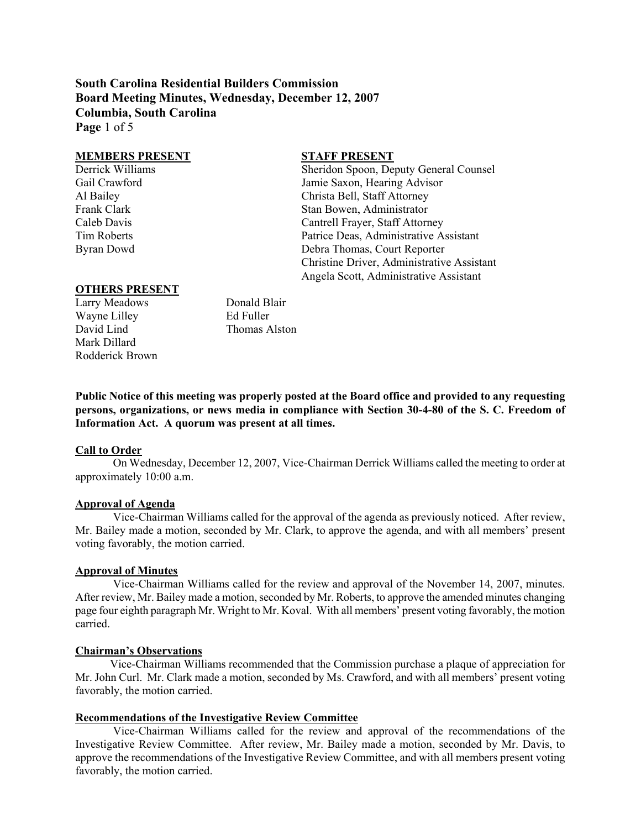**South Carolina Residential Builders Commission Board Meeting Minutes, Wednesday, December 12, 2007 Columbia, South Carolina Page** 1 of 5

#### **MEMBERS PRESENT STAFF PRESENT**

Derrick Williams Sheridon Spoon, Deputy General Counsel Gail Crawford Jamie Saxon, Hearing Advisor Al Bailey Christa Bell, Staff Attorney Frank Clark Stan Bowen, Administrator Caleb Davis Cantrell Frayer, Staff Attorney Tim Roberts Patrice Deas, Administrative Assistant Byran Dowd Debra Thomas, Court Reporter Christine Driver, Administrative Assistant Angela Scott, Administrative Assistant

### **OTHERS PRESENT**

Larry Meadows Donald Blair Wayne Lilley **Ed Fuller** David Lind Thomas Alston Mark Dillard Rodderick Brown

**Public Notice of this meeting was properly posted at the Board office and provided to any requesting persons, organizations, or news media in compliance with Section 30-4-80 of the S. C. Freedom of Information Act. A quorum was present at all times.** 

#### **Call to Order**

On Wednesday, December 12, 2007, Vice-Chairman Derrick Williams called the meeting to order at approximately 10:00 a.m.

#### **Approval of Agenda**

Vice-Chairman Williams called for the approval of the agenda as previously noticed. After review, Mr. Bailey made a motion, seconded by Mr. Clark, to approve the agenda, and with all members' present voting favorably, the motion carried.

#### **Approval of Minutes**

Vice-Chairman Williams called for the review and approval of the November 14, 2007, minutes. After review, Mr. Bailey made a motion, seconded by Mr. Roberts, to approve the amended minutes changing page four eighth paragraph Mr. Wright to Mr. Koval. With all members' present voting favorably, the motion carried.

#### **Chairman's Observations**

 Vice-Chairman Williams recommended that the Commission purchase a plaque of appreciation for Mr. John Curl. Mr. Clark made a motion, seconded by Ms. Crawford, and with all members' present voting favorably, the motion carried.

# **Recommendations of the Investigative Review Committee**

Vice-Chairman Williams called for the review and approval of the recommendations of the Investigative Review Committee. After review, Mr. Bailey made a motion, seconded by Mr. Davis, to approve the recommendations of the Investigative Review Committee, and with all members present voting favorably, the motion carried.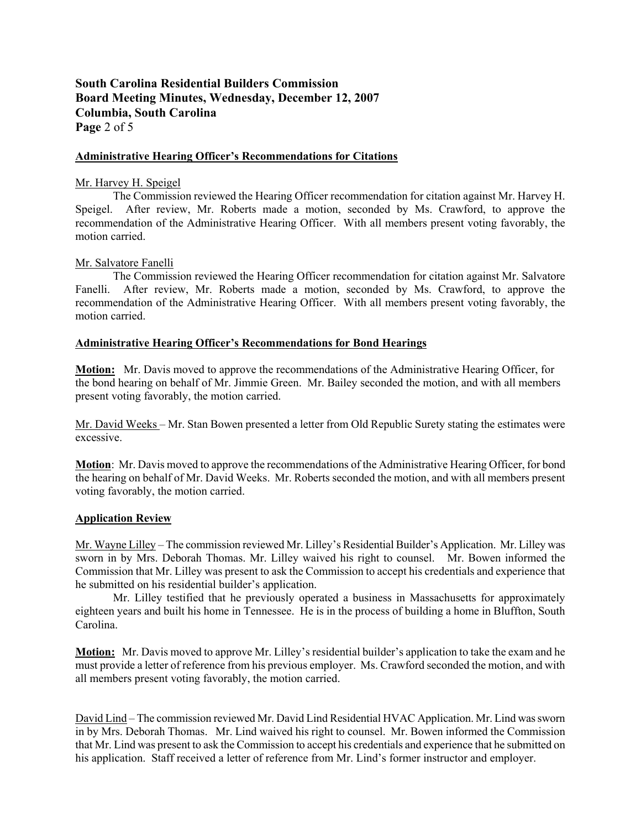# **South Carolina Residential Builders Commission Board Meeting Minutes, Wednesday, December 12, 2007 Columbia, South Carolina Page** 2 of 5

#### **Administrative Hearing Officer's Recommendations for Citations**

### Mr. Harvey H. Speigel

The Commission reviewed the Hearing Officer recommendation for citation against Mr. Harvey H. Speigel. After review, Mr. Roberts made a motion, seconded by Ms. Crawford, to approve the recommendation of the Administrative Hearing Officer. With all members present voting favorably, the motion carried.

# Mr. Salvatore Fanelli

The Commission reviewed the Hearing Officer recommendation for citation against Mr. Salvatore Fanelli. After review, Mr. Roberts made a motion, seconded by Ms. Crawford, to approve the recommendation of the Administrative Hearing Officer. With all members present voting favorably, the motion carried.

# **Administrative Hearing Officer's Recommendations for Bond Hearings**

**Motion:** Mr. Davis moved to approve the recommendations of the Administrative Hearing Officer, for the bond hearing on behalf of Mr. Jimmie Green. Mr. Bailey seconded the motion, and with all members present voting favorably, the motion carried.

Mr. David Weeks – Mr. Stan Bowen presented a letter from Old Republic Surety stating the estimates were excessive.

**Motion**: Mr. Davis moved to approve the recommendations of the Administrative Hearing Officer, for bond the hearing on behalf of Mr. David Weeks. Mr. Roberts seconded the motion, and with all members present voting favorably, the motion carried.

#### **Application Review**

Mr. Wayne Lilley – The commission reviewed Mr. Lilley's Residential Builder's Application. Mr. Lilley was sworn in by Mrs. Deborah Thomas. Mr. Lilley waived his right to counsel. Mr. Bowen informed the Commission that Mr. Lilley was present to ask the Commission to accept his credentials and experience that he submitted on his residential builder's application.

Mr. Lilley testified that he previously operated a business in Massachusetts for approximately eighteen years and built his home in Tennessee. He is in the process of building a home in Bluffton, South Carolina.

**Motion:** Mr. Davis moved to approve Mr. Lilley's residential builder's application to take the exam and he must provide a letter of reference from his previous employer. Ms. Crawford seconded the motion, and with all members present voting favorably, the motion carried.

David Lind – The commission reviewed Mr. David Lind Residential HVAC Application. Mr. Lind was sworn in by Mrs. Deborah Thomas. Mr. Lind waived his right to counsel. Mr. Bowen informed the Commission that Mr. Lind was present to ask the Commission to accept his credentials and experience that he submitted on his application. Staff received a letter of reference from Mr. Lind's former instructor and employer.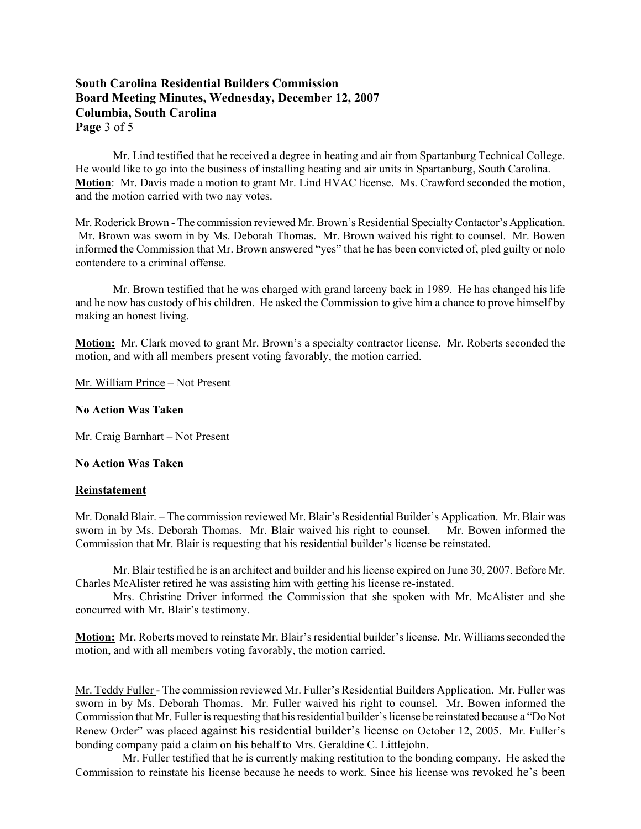# **South Carolina Residential Builders Commission Board Meeting Minutes, Wednesday, December 12, 2007 Columbia, South Carolina Page** 3 of 5

Mr. Lind testified that he received a degree in heating and air from Spartanburg Technical College. He would like to go into the business of installing heating and air units in Spartanburg, South Carolina. **Motion**: Mr. Davis made a motion to grant Mr. Lind HVAC license. Ms. Crawford seconded the motion, and the motion carried with two nay votes.

Mr. Roderick Brown - The commission reviewed Mr. Brown's Residential Specialty Contactor's Application. Mr. Brown was sworn in by Ms. Deborah Thomas. Mr. Brown waived his right to counsel. Mr. Bowen informed the Commission that Mr. Brown answered "yes" that he has been convicted of, pled guilty or nolo contendere to a criminal offense.

Mr. Brown testified that he was charged with grand larceny back in 1989. He has changed his life and he now has custody of his children. He asked the Commission to give him a chance to prove himself by making an honest living.

**Motion:** Mr. Clark moved to grant Mr. Brown's a specialty contractor license. Mr. Roberts seconded the motion, and with all members present voting favorably, the motion carried.

Mr. William Prince – Not Present

#### **No Action Was Taken**

Mr. Craig Barnhart – Not Present

**No Action Was Taken** 

#### **Reinstatement**

Mr. Donald Blair. – The commission reviewed Mr. Blair's Residential Builder's Application. Mr. Blair was sworn in by Ms. Deborah Thomas. Mr. Blair waived his right to counsel. Mr. Bowen informed the Commission that Mr. Blair is requesting that his residential builder's license be reinstated.

Mr. Blair testified he is an architect and builder and his license expired on June 30, 2007. Before Mr. Charles McAlister retired he was assisting him with getting his license re-instated.

Mrs. Christine Driver informed the Commission that she spoken with Mr. McAlister and she concurred with Mr. Blair's testimony.

**Motion:** Mr. Roberts moved to reinstate Mr. Blair's residential builder's license. Mr. Williams seconded the motion, and with all members voting favorably, the motion carried.

Mr. Teddy Fuller - The commission reviewed Mr. Fuller's Residential Builders Application. Mr. Fuller was sworn in by Ms. Deborah Thomas. Mr. Fuller waived his right to counsel. Mr. Bowen informed the Commission that Mr. Fuller is requesting that his residential builder's license be reinstated because a "Do Not Renew Order" was placed against his residential builder's license on October 12, 2005. Mr. Fuller's bonding company paid a claim on his behalf to Mrs. Geraldine C. Littlejohn.

 Mr. Fuller testified that he is currently making restitution to the bonding company. He asked the Commission to reinstate his license because he needs to work. Since his license was revoked he's been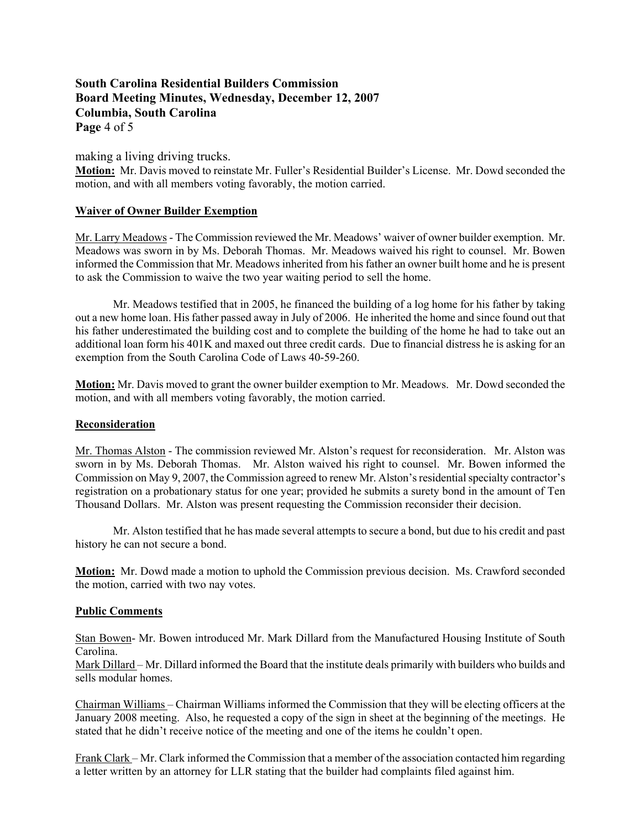# **South Carolina Residential Builders Commission Board Meeting Minutes, Wednesday, December 12, 2007 Columbia, South Carolina Page** 4 of 5

making a living driving trucks.

**Motion:** Mr. Davis moved to reinstate Mr. Fuller's Residential Builder's License. Mr. Dowd seconded the motion, and with all members voting favorably, the motion carried.

# **Waiver of Owner Builder Exemption**

Mr. Larry Meadows - The Commission reviewed the Mr. Meadows' waiver of owner builder exemption. Mr. Meadows was sworn in by Ms. Deborah Thomas. Mr. Meadows waived his right to counsel. Mr. Bowen informed the Commission that Mr. Meadows inherited from his father an owner built home and he is present to ask the Commission to waive the two year waiting period to sell the home.

Mr. Meadows testified that in 2005, he financed the building of a log home for his father by taking out a new home loan. His father passed away in July of 2006. He inherited the home and since found out that his father underestimated the building cost and to complete the building of the home he had to take out an additional loan form his 401K and maxed out three credit cards. Due to financial distress he is asking for an exemption from the South Carolina Code of Laws 40-59-260.

**Motion:** Mr. Davis moved to grant the owner builder exemption to Mr. Meadows. Mr. Dowd seconded the motion, and with all members voting favorably, the motion carried.

#### **Reconsideration**

Mr. Thomas Alston - The commission reviewed Mr. Alston's request for reconsideration. Mr. Alston was sworn in by Ms. Deborah Thomas. Mr. Alston waived his right to counsel. Mr. Bowen informed the Commission on May 9, 2007, the Commission agreed to renew Mr. Alston's residential specialty contractor's registration on a probationary status for one year; provided he submits a surety bond in the amount of Ten Thousand Dollars. Mr. Alston was present requesting the Commission reconsider their decision.

Mr. Alston testified that he has made several attempts to secure a bond, but due to his credit and past history he can not secure a bond.

**Motion:** Mr. Dowd made a motion to uphold the Commission previous decision. Ms. Crawford seconded the motion, carried with two nay votes.

#### **Public Comments**

Stan Bowen- Mr. Bowen introduced Mr. Mark Dillard from the Manufactured Housing Institute of South Carolina.

Mark Dillard – Mr. Dillard informed the Board that the institute deals primarily with builders who builds and sells modular homes.

Chairman Williams – Chairman Williams informed the Commission that they will be electing officers at the January 2008 meeting. Also, he requested a copy of the sign in sheet at the beginning of the meetings. He stated that he didn't receive notice of the meeting and one of the items he couldn't open.

Frank Clark – Mr. Clark informed the Commission that a member of the association contacted him regarding a letter written by an attorney for LLR stating that the builder had complaints filed against him.